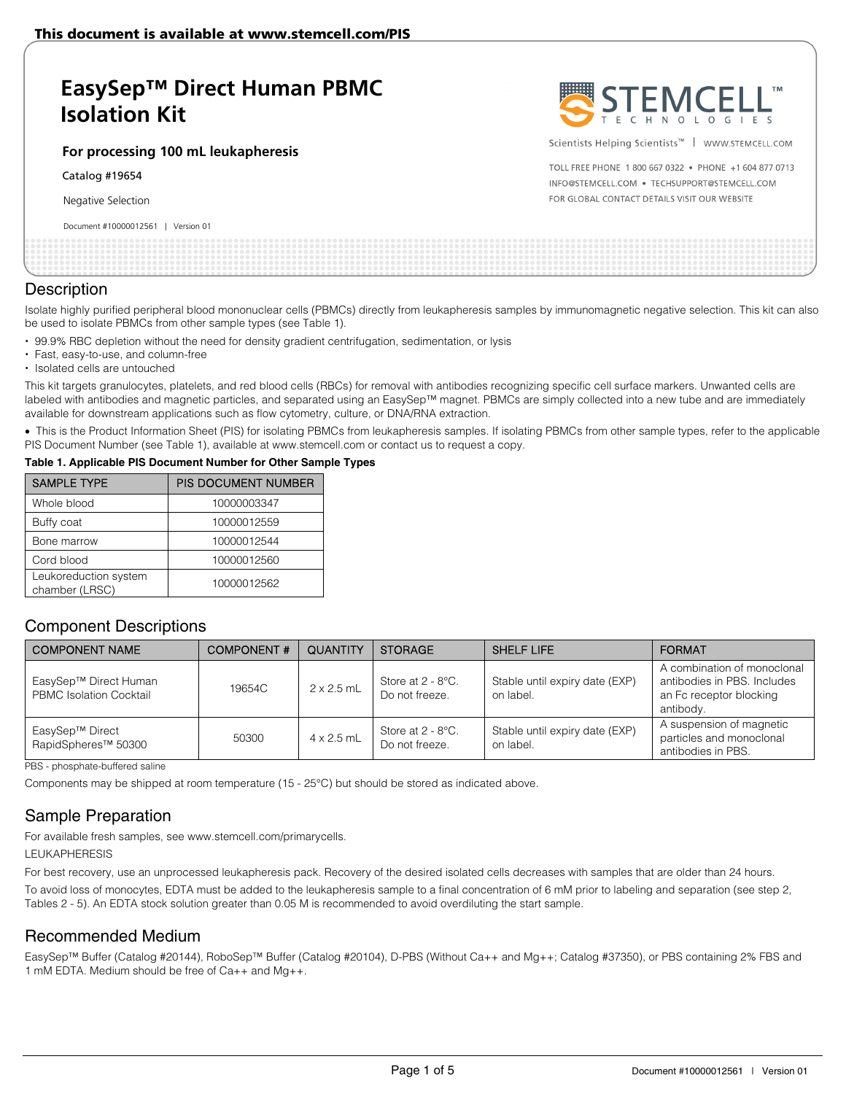# **EasySep™ Direct Human PBMC Isolation Kit**

#### **For processing 100 mL leukapheresis**

Catalog #19654

Negative Selection

Document #10000012561 | Version 01



Scientists Helping Scientists™ | WWW.STEMCELL.COM

TOLL FREE PHONE 1 800 667 0322 . PHONE +1 604 877 0713 INFO@STEMCELL.COM . TECHSUPPORT@STEMCELL.COM FOR GLOBAL CONTACT DETAILS VISIT OUR WEBSITE

| pocanicity in rood out control to the condition |  |
|-------------------------------------------------|--|
|                                                 |  |
|                                                 |  |
|                                                 |  |
|                                                 |  |
|                                                 |  |
|                                                 |  |
|                                                 |  |
|                                                 |  |
|                                                 |  |

### **Description**

Isolate highly purified peripheral blood mononuclear cells (PBMCs) directly from leukapheresis samples by immunomagnetic negative selection. This kit can also be used to isolate PBMCs from other sample types (see Table 1).

- 99.9% RBC depletion without the need for density gradient centrifugation, sedimentation, or lysis
- Fast, easy-to-use, and column-free
- Isolated cells are untouched

This kit targets granulocytes, platelets, and red blood cells (RBCs) for removal with antibodies recognizing specific cell surface markers. Unwanted cells are labeled with antibodies and magnetic particles, and separated using an EasySep™ magnet. PBMCs are simply collected into a new tube and are immediately available for downstream applications such as flow cytometry, culture, or DNA/RNA extraction.

• This is the Product Information Sheet (PIS) for isolating PBMCs from leukapheresis samples. If isolating PBMCs from other sample types, refer to the applicable PIS Document Number (see Table 1), available at www.stemcell.com or contact us to request a copy.

#### **Table 1. Applicable PIS Document Number for Other Sample Types**

| <b>SAMPLE TYPE</b>                      | PIS DOCUMENT NUMBER |  |
|-----------------------------------------|---------------------|--|
| Whole blood                             | 10000003347         |  |
| Buffy coat                              | 10000012559         |  |
| Bone marrow                             | 10000012544         |  |
| Cord blood                              | 10000012560         |  |
| Leukoreduction system<br>chamber (LRSC) | 10000012562         |  |

## Component Descriptions

| <b>COMPONENT NAME</b>                                   | <b>COMPONENT#</b> | <b>QUANTITY</b>   | <b>STORAGE</b>                         | <b>SHELF LIFE</b>                           | <b>FORMAT</b>                                                                                      |
|---------------------------------------------------------|-------------------|-------------------|----------------------------------------|---------------------------------------------|----------------------------------------------------------------------------------------------------|
| EasySep™ Direct Human<br><b>PBMC</b> Isolation Cocktail | 19654C            | $2 \times 2.5$ mL | Store at $2 - 8$ °C.<br>Do not freeze. | Stable until expiry date (EXP)<br>on label. | A combination of monoclonal<br>antibodies in PBS. Includes<br>an Fc receptor blocking<br>antibody. |
| EasySep™ Direct<br>RapidSpheres <sup>™</sup> 50300      | 50300             | $4 \times 2.5$ mL | Store at $2 - 8$ °C.<br>Do not freeze. | Stable until expiry date (EXP)<br>on label. | A suspension of magnetic<br>particles and monoclonal<br>antibodies in PBS.                         |

PBS - phosphate-buffered saline

Components may be shipped at room temperature (15 - 25°C) but should be stored as indicated above.

## Sample Preparation

For available fresh samples, see www.stemcell.com/primarycells.

#### LEUKAPHERESIS

For best recovery, use an unprocessed leukapheresis pack. Recovery of the desired isolated cells decreases with samples that are older than 24 hours. To avoid loss of monocytes, EDTA must be added to the leukapheresis sample to a final concentration of 6 mM prior to labeling and separation (see step 2, Tables 2 - 5). An EDTA stock solution greater than 0.05 M is recommended to avoid overdiluting the start sample.

### Recommended Medium

EasySep™ Buffer (Catalog #20144), RoboSep™ Buffer (Catalog #20104), D-PBS (Without Ca++ and Mg++; Catalog #37350), or PBS containing 2% FBS and 1 mM EDTA. Medium should be free of Ca++ and Mg++.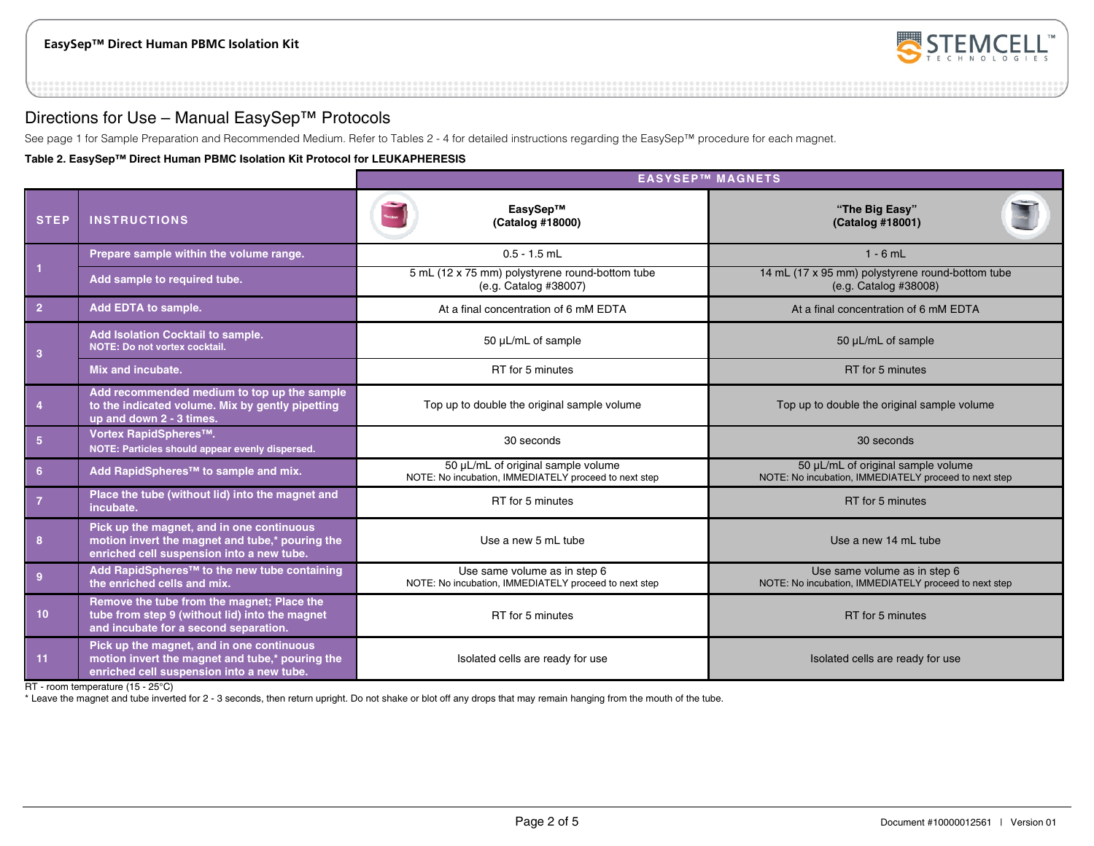

## Directions for Use – Manual EasySep™ Protocols

See page 1 for Sample Preparation and Recommended Medium. Refer to Tables 2 - 4 for detailed instructions regarding the EasySep™ procedure for each magnet.

**Table 2. EasySep™ Direct Human PBMC Isolation Kit Protocol for LEUKAPHERESIS** 

|                 |                                                                                                                                           | <b>EASYSEP™ MAGNETS</b>                                                                     |                                                                                             |  |  |
|-----------------|-------------------------------------------------------------------------------------------------------------------------------------------|---------------------------------------------------------------------------------------------|---------------------------------------------------------------------------------------------|--|--|
| <b>STEP</b>     | <b>INSTRUCTIONS</b>                                                                                                                       | EasySep™<br>(Catalog #18000)                                                                | "The Big Easy"<br>(Catalog #18001)                                                          |  |  |
|                 | Prepare sample within the volume range.                                                                                                   | $0.5 - 1.5$ mL                                                                              | $1 - 6$ mL                                                                                  |  |  |
| $\vert$ 1       | Add sample to required tube.                                                                                                              | 5 mL (12 x 75 mm) polystyrene round-bottom tube<br>(e.g. Catalog #38007)                    | 14 mL (17 x 95 mm) polystyrene round-bottom tube<br>(e.g. Catalog #38008)                   |  |  |
| $\overline{2}$  | Add EDTA to sample.                                                                                                                       | At a final concentration of 6 mM EDTA                                                       | At a final concentration of 6 mM EDTA                                                       |  |  |
| $\overline{3}$  | Add Isolation Cocktail to sample.<br>NOTE: Do not vortex cocktail.                                                                        | 50 µL/mL of sample                                                                          | 50 µL/mL of sample                                                                          |  |  |
|                 | Mix and incubate.                                                                                                                         | RT for 5 minutes                                                                            | RT for 5 minutes                                                                            |  |  |
| $\overline{4}$  | Add recommended medium to top up the sample<br>to the indicated volume. Mix by gently pipetting<br>up and down 2 - 3 times.               | Top up to double the original sample volume                                                 | Top up to double the original sample volume                                                 |  |  |
| $5\phantom{.0}$ | Vortex RapidSpheres™.<br>NOTE: Particles should appear evenly dispersed.                                                                  | 30 seconds                                                                                  | 30 seconds                                                                                  |  |  |
| $6\phantom{1}6$ | Add RapidSpheres™ to sample and mix.                                                                                                      | 50 µL/mL of original sample volume<br>NOTE: No incubation, IMMEDIATELY proceed to next step | 50 µL/mL of original sample volume<br>NOTE: No incubation, IMMEDIATELY proceed to next step |  |  |
| $\overline{7}$  | Place the tube (without lid) into the magnet and<br>incubate.                                                                             | RT for 5 minutes                                                                            | RT for 5 minutes                                                                            |  |  |
| 8               | Pick up the magnet, and in one continuous<br>motion invert the magnet and tube,* pouring the<br>enriched cell suspension into a new tube. | Use a new 5 mL tube                                                                         | Use a new 14 mL tube                                                                        |  |  |
| $\overline{9}$  | Add RapidSpheres™ to the new tube containing<br>the enriched cells and mix.                                                               | Use same volume as in step 6<br>NOTE: No incubation, IMMEDIATELY proceed to next step       | Use same volume as in step 6<br>NOTE: No incubation, IMMEDIATELY proceed to next step       |  |  |
| 10              | Remove the tube from the magnet; Place the<br>tube from step 9 (without lid) into the magnet<br>and incubate for a second separation.     | RT for 5 minutes                                                                            | RT for 5 minutes                                                                            |  |  |
| 11              | Pick up the magnet, and in one continuous<br>motion invert the magnet and tube,* pouring the<br>enriched cell suspension into a new tube. | Isolated cells are ready for use                                                            | Isolated cells are ready for use                                                            |  |  |

RT - room temperature (15 - 25°C)

\* Leave the magnet and tube inverted for 2 - 3 seconds, then return upright. Do not shake or blot off any drops that may remain hanging from the mouth of the tube.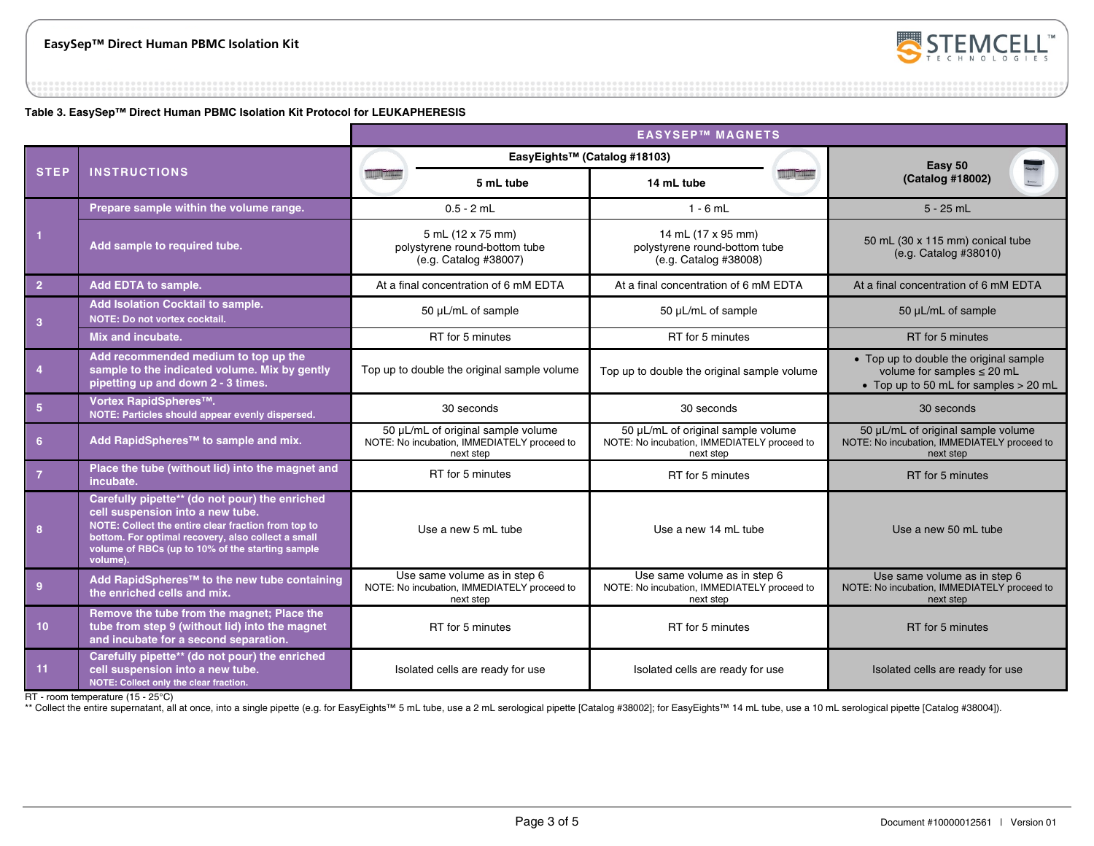

**Table 3. EasySep™ Direct Human PBMC Isolation Kit Protocol for LEUKAPHERESIS** 

|                 |                                                                                                                                                                                                                                                                 | <b>EASYSEP™ MAGNETS</b>                                                                        |                                                                                                |                                                                                                                    |  |  |
|-----------------|-----------------------------------------------------------------------------------------------------------------------------------------------------------------------------------------------------------------------------------------------------------------|------------------------------------------------------------------------------------------------|------------------------------------------------------------------------------------------------|--------------------------------------------------------------------------------------------------------------------|--|--|
|                 |                                                                                                                                                                                                                                                                 | EasyEights™ (Catalog #18103)                                                                   |                                                                                                | Easy 50                                                                                                            |  |  |
| <b>STEP</b>     | <b>INSTRUCTIONS</b>                                                                                                                                                                                                                                             | 5 mL tube                                                                                      | 14 mL tube                                                                                     | (Catalog #18002)                                                                                                   |  |  |
|                 | Prepare sample within the volume range.                                                                                                                                                                                                                         | $0.5 - 2$ mL                                                                                   | $1 - 6$ mL                                                                                     | $5 - 25$ mL                                                                                                        |  |  |
|                 | Add sample to required tube.                                                                                                                                                                                                                                    | 5 mL (12 x 75 mm)<br>polystyrene round-bottom tube<br>(e.g. Catalog #38007)                    | 14 mL (17 x 95 mm)<br>polystyrene round-bottom tube<br>(e.g. Catalog #38008)                   | 50 mL (30 x 115 mm) conical tube<br>(e.g. Catalog #38010)                                                          |  |  |
| $\overline{2}$  | Add EDTA to sample.                                                                                                                                                                                                                                             | At a final concentration of 6 mM EDTA                                                          | At a final concentration of 6 mM EDTA                                                          | At a final concentration of 6 mM EDTA                                                                              |  |  |
| $\mathbf{3}$    | Add Isolation Cocktail to sample.<br><b>NOTE: Do not vortex cocktail.</b>                                                                                                                                                                                       | 50 µL/mL of sample                                                                             | 50 µL/mL of sample                                                                             | 50 µL/mL of sample                                                                                                 |  |  |
|                 | Mix and incubate.                                                                                                                                                                                                                                               | RT for 5 minutes                                                                               | RT for 5 minutes                                                                               | RT for 5 minutes                                                                                                   |  |  |
| $\overline{4}$  | Add recommended medium to top up the<br>sample to the indicated volume. Mix by gently<br>pipetting up and down 2 - 3 times.                                                                                                                                     | Top up to double the original sample volume                                                    | Top up to double the original sample volume                                                    | • Top up to double the original sample<br>volume for samples $\leq$ 20 mL<br>• Top up to 50 mL for samples > 20 mL |  |  |
| 5 <sup>5</sup>  | Vortex RapidSpheres™.<br>NOTE: Particles should appear evenly dispersed.                                                                                                                                                                                        | 30 seconds                                                                                     | 30 seconds                                                                                     | 30 seconds                                                                                                         |  |  |
| 6               | Add RapidSpheres <sup>™</sup> to sample and mix.                                                                                                                                                                                                                | 50 µL/mL of original sample volume<br>NOTE: No incubation, IMMEDIATELY proceed to<br>next step | 50 µL/mL of original sample volume<br>NOTE: No incubation, IMMEDIATELY proceed to<br>next step | 50 µL/mL of original sample volume<br>NOTE: No incubation, IMMEDIATELY proceed to<br>next step                     |  |  |
| $\overline{7}$  | Place the tube (without lid) into the magnet and<br>incubate.                                                                                                                                                                                                   | RT for 5 minutes                                                                               | RT for 5 minutes                                                                               | RT for 5 minutes                                                                                                   |  |  |
| 8               | Carefully pipette** (do not pour) the enriched<br>cell suspension into a new tube.<br>NOTE: Collect the entire clear fraction from top to<br>bottom. For optimal recovery, also collect a small<br>volume of RBCs (up to 10% of the starting sample<br>volume). | Use a new 5 mL tube                                                                            | Use a new 14 mL tube                                                                           | Use a new 50 mL tube                                                                                               |  |  |
| $\overline{9}$  | Add RapidSpheres <sup>™</sup> to the new tube containing<br>the enriched cells and mix.                                                                                                                                                                         | Use same volume as in step 6<br>NOTE: No incubation, IMMEDIATELY proceed to<br>next step       | Use same volume as in step 6<br>NOTE: No incubation, IMMEDIATELY proceed to<br>next step       | Use same volume as in step 6<br>NOTE: No incubation, IMMEDIATELY proceed to<br>next step                           |  |  |
| 10 <sup>°</sup> | Remove the tube from the magnet; Place the<br>tube from step 9 (without lid) into the magnet<br>and incubate for a second separation.                                                                                                                           | RT for 5 minutes                                                                               | RT for 5 minutes                                                                               | RT for 5 minutes                                                                                                   |  |  |
| 11              | Carefully pipette** (do not pour) the enriched<br>cell suspension into a new tube.<br>NOTE: Collect only the clear fraction.                                                                                                                                    | Isolated cells are ready for use                                                               | Isolated cells are ready for use                                                               | Isolated cells are ready for use                                                                                   |  |  |

RT - room temperature (15 - 25°C)

\*\* Collect the entire supernatant, all at once, into a single pipette (e.g. for EasyEights™ 5 mL tube, use a 2 mL serological pipette [Catalog #38002]; for EasyEights™ 14 mL tube, use a 10 mL serological pipette [Catalog #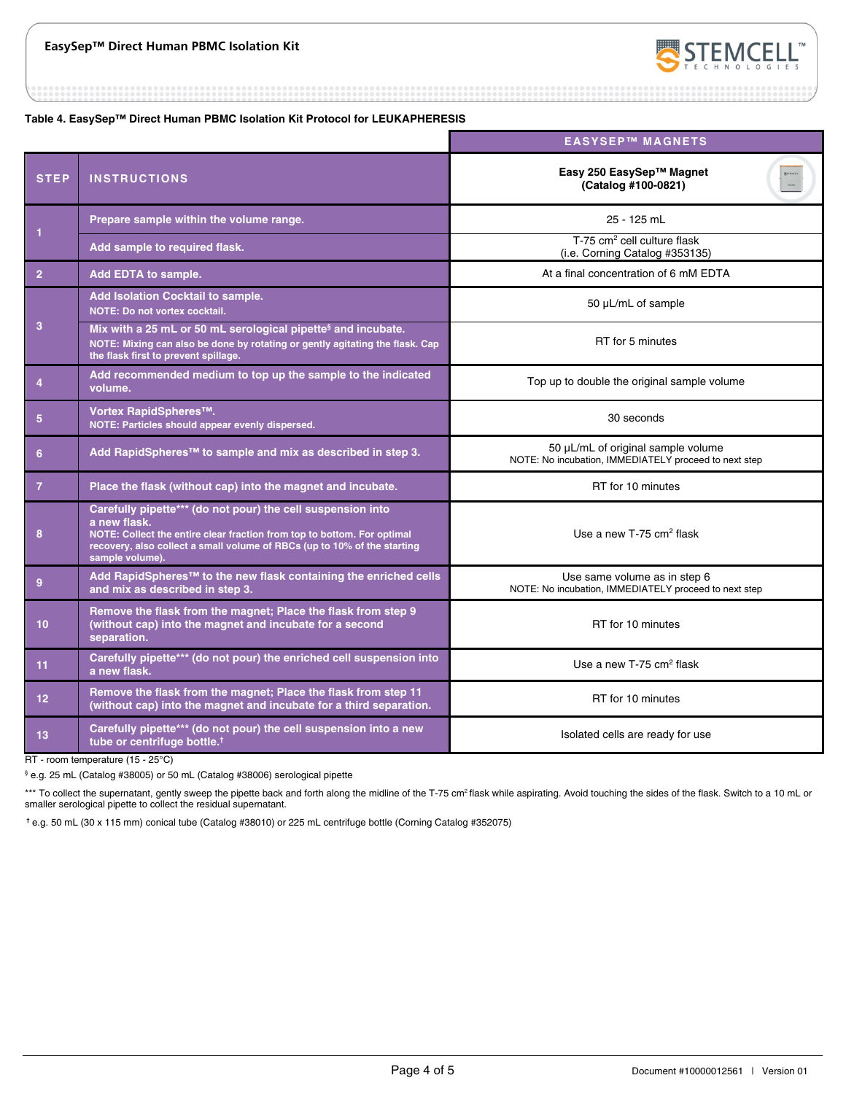

**Table 4. EasySep™ Direct Human PBMC Isolation Kit Protocol for LEUKAPHERESIS** 

|                |                                                                                                                                                                                                                                                       | <b>EASYSEP™ MAGNETS</b>                                                                     |
|----------------|-------------------------------------------------------------------------------------------------------------------------------------------------------------------------------------------------------------------------------------------------------|---------------------------------------------------------------------------------------------|
| <b>STEP</b>    | <b>INSTRUCTIONS</b>                                                                                                                                                                                                                                   | Easy 250 EasySep™ Magnet<br>(Catalog #100-0821)                                             |
|                | Prepare sample within the volume range.                                                                                                                                                                                                               | 25 - 125 mL                                                                                 |
| 1              | Add sample to required flask.                                                                                                                                                                                                                         | T-75 cm <sup>2</sup> cell culture flask<br>(i.e. Corning Catalog #353135)                   |
| $\overline{2}$ | Add EDTA to sample.                                                                                                                                                                                                                                   | At a final concentration of 6 mM EDTA                                                       |
|                | Add Isolation Cocktail to sample.<br><b>NOTE: Do not vortex cocktail.</b>                                                                                                                                                                             | 50 µL/mL of sample                                                                          |
| 3              | Mix with a 25 mL or 50 mL serological pipette <sup>§</sup> and incubate.<br>NOTE: Mixing can also be done by rotating or gently agitating the flask. Cap<br>the flask first to prevent spillage.                                                      | RT for 5 minutes                                                                            |
| 4              | Add recommended medium to top up the sample to the indicated<br>volume.                                                                                                                                                                               | Top up to double the original sample volume                                                 |
| 5              | Vortex RapidSpheres™.<br>NOTE: Particles should appear evenly dispersed.                                                                                                                                                                              | 30 seconds                                                                                  |
| 6              | Add RapidSpheres™ to sample and mix as described in step 3.                                                                                                                                                                                           | 50 µL/mL of original sample volume<br>NOTE: No incubation, IMMEDIATELY proceed to next step |
| $\overline{7}$ | Place the flask (without cap) into the magnet and incubate.                                                                                                                                                                                           | RT for 10 minutes                                                                           |
| 8              | Carefully pipette*** (do not pour) the cell suspension into<br>a new flask.<br>NOTE: Collect the entire clear fraction from top to bottom. For optimal<br>recovery, also collect a small volume of RBCs (up to 10% of the starting<br>sample volume). | Use a new $T-75$ cm <sup>2</sup> flask                                                      |
| $\mathbf{9}$   | Add RapidSpheres™ to the new flask containing the enriched cells<br>and mix as described in step 3.                                                                                                                                                   | Use same volume as in step 6<br>NOTE: No incubation, IMMEDIATELY proceed to next step       |
| 10             | Remove the flask from the magnet; Place the flask from step 9<br>(without cap) into the magnet and incubate for a second<br>separation.                                                                                                               | RT for 10 minutes                                                                           |
| 11             | Carefully pipette*** (do not pour) the enriched cell suspension into<br>a new flask.                                                                                                                                                                  | Use a new $T-75$ cm <sup>2</sup> flask                                                      |
| 12             | Remove the flask from the magnet; Place the flask from step 11<br>(without cap) into the magnet and incubate for a third separation.                                                                                                                  | RT for 10 minutes                                                                           |
| 13             | Carefully pipette*** (do not pour) the cell suspension into a new<br>tube or centrifuge bottle. <sup>†</sup>                                                                                                                                          | Isolated cells are ready for use                                                            |

RT - room temperature (15 - 25°C)

§ e.g. 25 mL (Catalog #38005) or 50 mL (Catalog #38006) serological pipette

\*\*\* To collect the supernatant, gently sweep the pipette back and forth along the midline of the T-75 cm<sup>2</sup> flask while aspirating. Avoid touching the sides of the flask. Switch to a 10 mL or smaller serological pipette to collect the residual supernatant.

 **†** e.g. 50 mL (30 x 115 mm) conical tube (Catalog #38010) or 225 mL centrifuge bottle (Corning Catalog #352075)